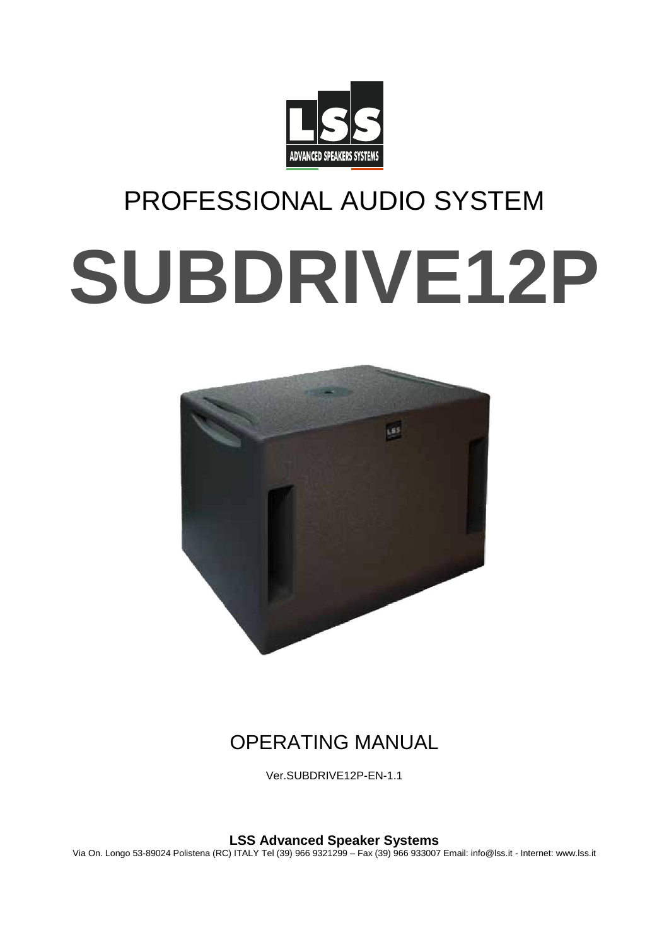

# PROFESSIONAL AUDIO SYSTEM **SUBDRIVE12P**



# OPERATING MANUAL

Ver.SUBDRIVE12P-EN-1.1

**LSS Advanced Speaker Systems** Via On. Longo 53-89024 Polistena (RC) ITALY Tel (39) 966 9321299 – Fax (39) 966 933007 Email: info@lss.it - Internet: www.lss.it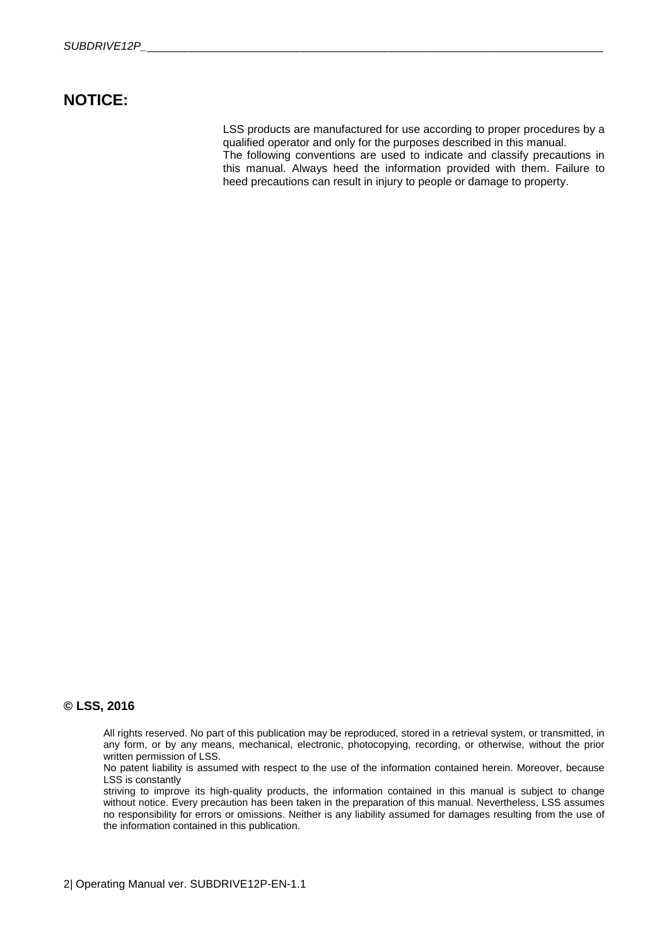## **NOTICE:**

LSS products are manufactured for use according to proper procedures by a qualified operator and only for the purposes described in this manual. The following conventions are used to indicate and classify precautions in this manual. Always heed the information provided with them. Failure to heed precautions can result in injury to people or damage to property.

## **© LSS, 2016**

All rights reserved. No part of this publication may be reproduced, stored in a retrieval system, or transmitted, in any form, or by any means, mechanical, electronic, photocopying, recording, or otherwise, without the prior written permission of LSS.

No patent liability is assumed with respect to the use of the information contained herein. Moreover, because LSS is constantly

striving to improve its high-quality products, the information contained in this manual is subject to change without notice. Every precaution has been taken in the preparation of this manual. Nevertheless, LSS assumes no responsibility for errors or omissions. Neither is any liability assumed for damages resulting from the use of the information contained in this publication.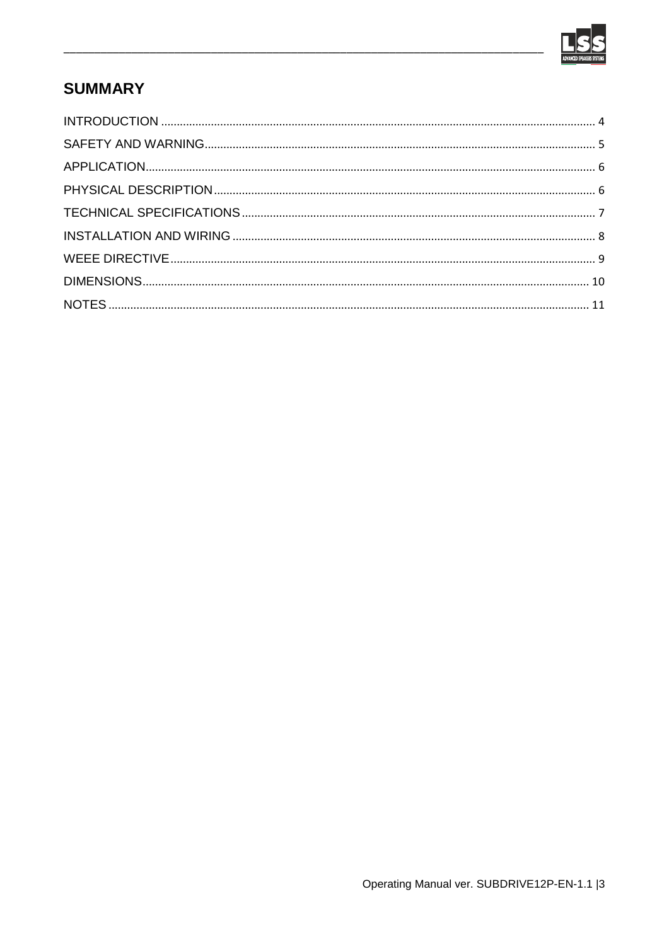

# **SUMMARY**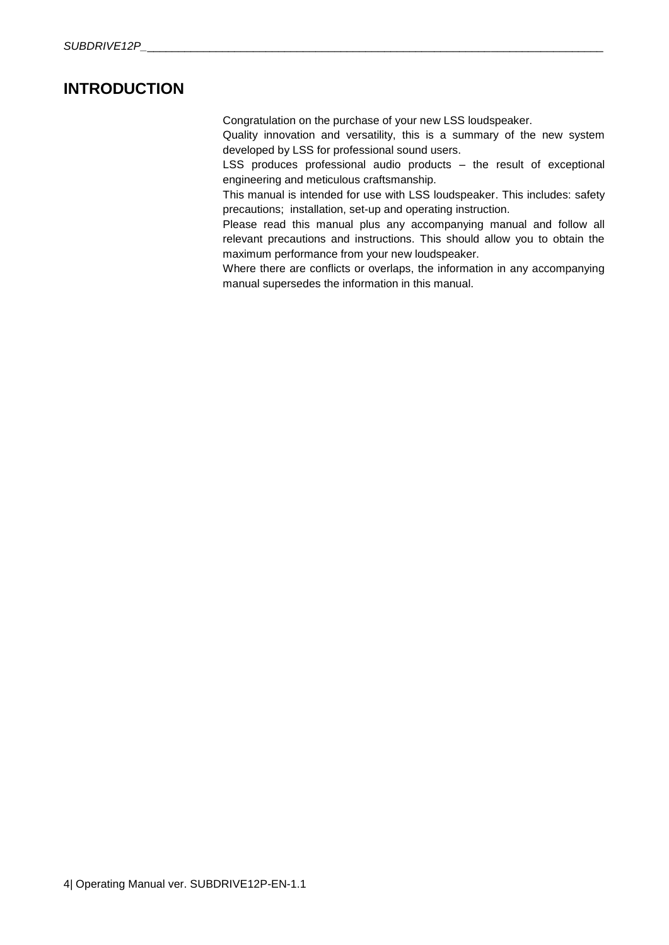## <span id="page-3-0"></span>**INTRODUCTION**

Congratulation on the purchase of your new LSS loudspeaker.

Quality innovation and versatility, this is a summary of the new system developed by LSS for professional sound users.

LSS produces professional audio products – the result of exceptional engineering and meticulous craftsmanship.

This manual is intended for use with LSS loudspeaker. This includes: safety precautions; installation, set-up and operating instruction.

Please read this manual plus any accompanying manual and follow all relevant precautions and instructions. This should allow you to obtain the maximum performance from your new loudspeaker.

Where there are conflicts or overlaps, the information in any accompanying manual supersedes the information in this manual.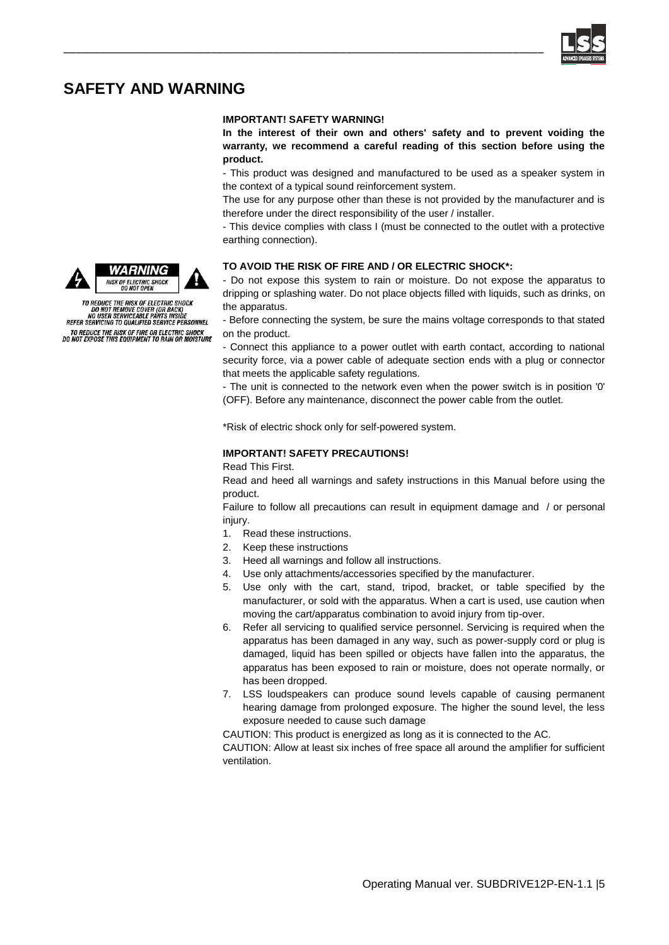

## <span id="page-4-0"></span>**SAFETY AND WARNING**

#### **IMPORTANT! SAFETY WARNING!**

\_\_\_\_\_\_\_\_\_\_\_\_\_\_\_\_\_\_\_\_\_\_\_\_\_\_\_\_\_\_\_\_\_\_\_\_\_\_\_\_\_\_\_\_\_\_\_\_\_\_\_\_\_\_\_\_\_\_\_\_\_\_\_\_\_\_\_\_\_\_\_\_\_\_\_\_\_\_

**In the interest of their own and others' safety and to prevent voiding the warranty, we recommend a careful reading of this section before using the product.**

- This product was designed and manufactured to be used as a speaker system in the context of a typical sound reinforcement system.

The use for any purpose other than these is not provided by the manufacturer and is therefore under the direct responsibility of the user / installer.

- This device complies with class I (must be connected to the outlet with a protective earthing connection).

#### **TO AVOID THE RISK OF FIRE AND / OR ELECTRIC SHOCK\*:**

- Do not expose this system to rain or moisture. Do not expose the apparatus to dripping or splashing water. Do not place objects filled with liquids, such as drinks, on the apparatus.

- Before connecting the system, be sure the mains voltage corresponds to that stated on the product.

- Connect this appliance to a power outlet with earth contact, according to national security force, via a power cable of adequate section ends with a plug or connector that meets the applicable safety regulations.

- The unit is connected to the network even when the power switch is in position '0' (OFF). Before any maintenance, disconnect the power cable from the outlet.

\*Risk of electric shock only for self-powered system.

#### **IMPORTANT! SAFETY PRECAUTIONS!**

Read This First.

Read and heed all warnings and safety instructions in this Manual before using the product.

Failure to follow all precautions can result in equipment damage and / or personal injury.

- 1. Read these instructions.
- 2. Keep these instructions
- 3. Heed all warnings and follow all instructions.
- 4. Use only attachments/accessories specified by the manufacturer.
- 5. Use only with the cart, stand, tripod, bracket, or table specified by the manufacturer, or sold with the apparatus. When a cart is used, use caution when moving the cart/apparatus combination to avoid injury from tip-over.
- 6. Refer all servicing to qualified service personnel. Servicing is required when the apparatus has been damaged in any way, such as power-supply cord or plug is damaged, liquid has been spilled or objects have fallen into the apparatus, the apparatus has been exposed to rain or moisture, does not operate normally, or has been dropped.
- 7. LSS loudspeakers can produce sound levels capable of causing permanent hearing damage from prolonged exposure. The higher the sound level, the less exposure needed to cause such damage

CAUTION: This product is energized as long as it is connected to the AC.

CAUTION: Allow at least six inches of free space all around the amplifier for sufficient ventilation.





TO REDUCE THE RISK OF ELECTRIC SHOCK<br>DO NOT REMOVE COVER (OR BACK)<br>NO USER SERVICEABLE PARTS INSIDE<br>REFER SERVICING TO QUALIFIED SERVICE PERSONNEL TO REDUCE THE RISK OF FIRE OR ELECTRIC SHOCK<br>DO NOT EXPOSE THIS EQUIPMENT TO RAIN OR MOISTURE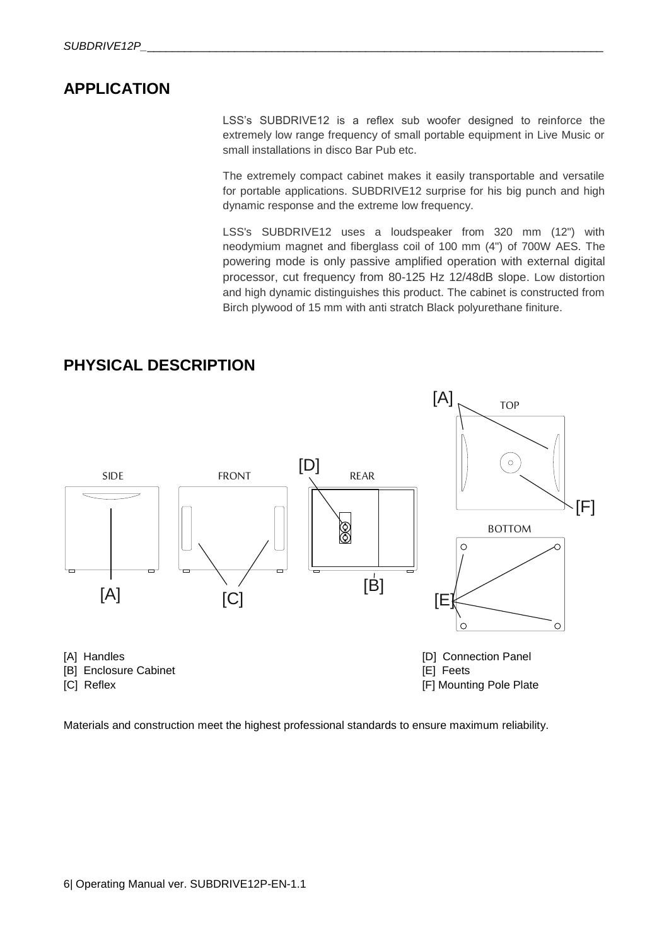## <span id="page-5-0"></span>**APPLICATION**

LSS's SUBDRIVE12 is a reflex sub woofer designed to reinforce the extremely low range frequency of small portable equipment in Live Music or small installations in disco Bar Pub etc.

The extremely compact cabinet makes it easily transportable and versatile for portable applications. SUBDRIVE12 surprise for his big punch and high dynamic response and the extreme low frequency.

LSS's SUBDRIVE12 uses a loudspeaker from 320 mm (12") with neodymium magnet and fiberglass coil of 100 mm (4") of 700W AES. The powering mode is only passive amplified operation with external digital processor, cut frequency from 80-125 Hz 12/48dB slope. Low distortion and high dynamic distinguishes this product. The cabinet is constructed from Birch plywood of 15 mm with anti stratch Black polyurethane finiture.



<span id="page-5-1"></span>**PHYSICAL DESCRIPTION**

Materials and construction meet the highest professional standards to ensure maximum reliability.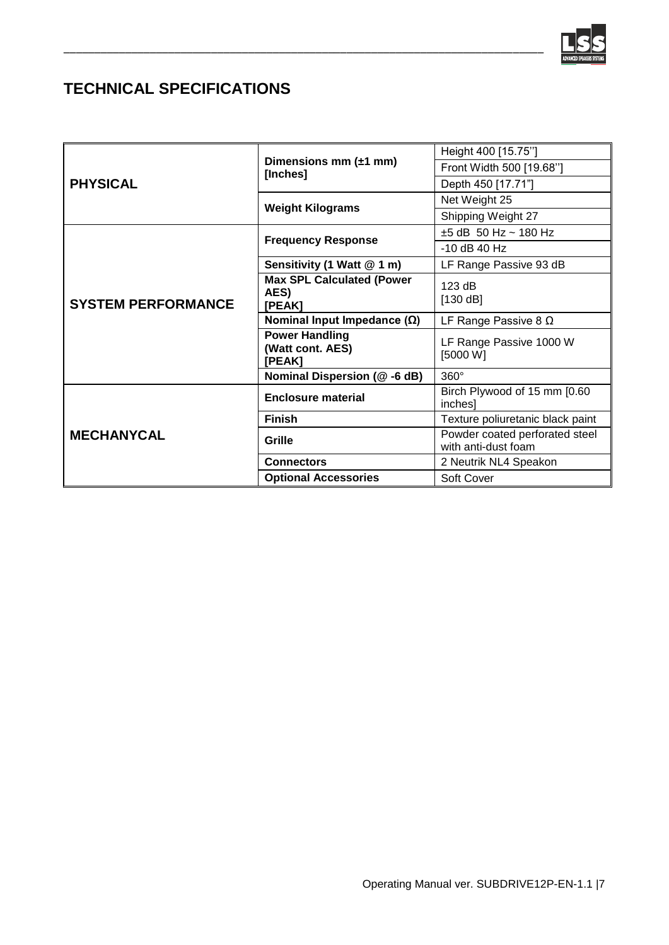

# <span id="page-6-0"></span>**TECHNICAL SPECIFICATIONS**

| <b>PHYSICAL</b>           | Dimensions mm $(\pm 1$ mm)<br>[Inches]              | Height 400 [15.75"]                                   |
|---------------------------|-----------------------------------------------------|-------------------------------------------------------|
|                           |                                                     | Front Width 500 [19.68"]                              |
|                           |                                                     | Depth 450 [17.71"]                                    |
|                           | <b>Weight Kilograms</b>                             | Net Weight 25                                         |
|                           |                                                     | Shipping Weight 27                                    |
| <b>SYSTEM PERFORMANCE</b> | <b>Frequency Response</b>                           | $±5$ dB 50 Hz ~ 180 Hz                                |
|                           |                                                     | $-10$ dB 40 Hz                                        |
|                           | Sensitivity (1 Watt @ 1 m)                          | LF Range Passive 93 dB                                |
|                           | <b>Max SPL Calculated (Power</b><br>AES)<br>[PEAK]  | 123 dB<br>[130 dB]                                    |
|                           | Nominal Input Impedance $(\Omega)$                  | LF Range Passive 8 $\Omega$                           |
|                           | <b>Power Handling</b><br>(Watt cont. AES)<br>[PEAK] | LF Range Passive 1000 W<br>[5000 W]                   |
|                           | Nominal Dispersion (@-6 dB)                         | $360^\circ$                                           |
| <b>MECHANYCAL</b>         | Enclosure material                                  | Birch Plywood of 15 mm [0.60<br>inches]               |
|                           | <b>Finish</b>                                       | Texture poliuretanic black paint                      |
|                           | Grille                                              | Powder coated perforated steel<br>with anti-dust foam |
|                           | <b>Connectors</b>                                   | 2 Neutrik NL4 Speakon                                 |
|                           | <b>Optional Accessories</b>                         | Soft Cover                                            |

\_\_\_\_\_\_\_\_\_\_\_\_\_\_\_\_\_\_\_\_\_\_\_\_\_\_\_\_\_\_\_\_\_\_\_\_\_\_\_\_\_\_\_\_\_\_\_\_\_\_\_\_\_\_\_\_\_\_\_\_\_\_\_\_\_\_\_\_\_\_\_\_\_\_\_\_\_\_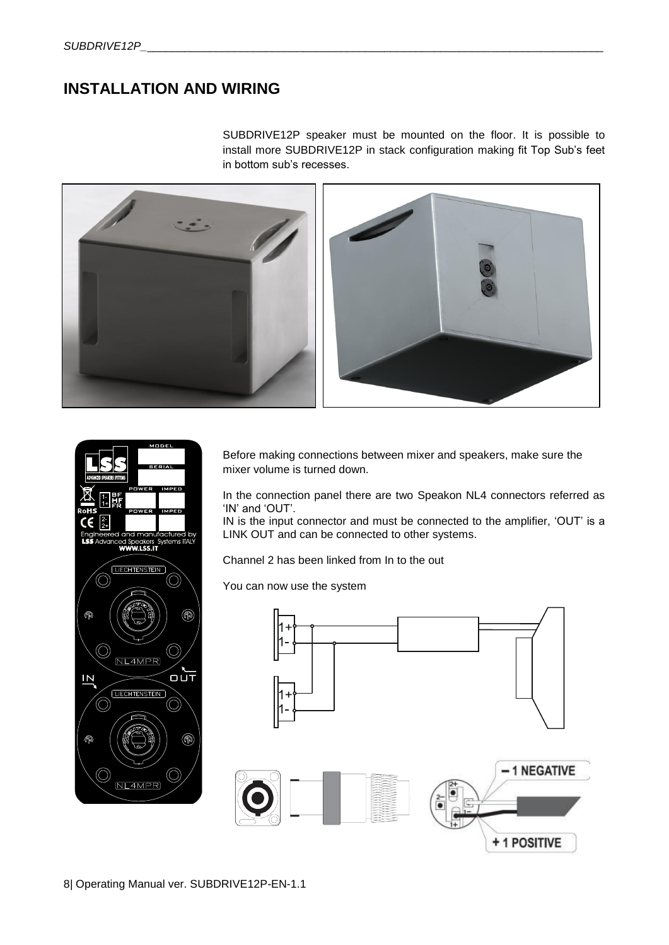## <span id="page-7-0"></span>**INSTALLATION AND WIRING**

SUBDRIVE12P speaker must be mounted on the floor. It is possible to install more SUBDRIVE12P in stack configuration making fit Top Sub's feet in bottom sub's recesses.





Before making connections between mixer and speakers, make sure the mixer volume is turned down.

In the connection panel there are two Speakon NL4 connectors referred as 'IN' and 'OUT'.

IN is the input connector and must be connected to the amplifier, 'OUT' is a LINK OUT and can be connected to other systems.

Channel 2 has been linked from In to the out

You can now use the system



8| Operating Manual ver. SUBDRIVE12P-EN-1.1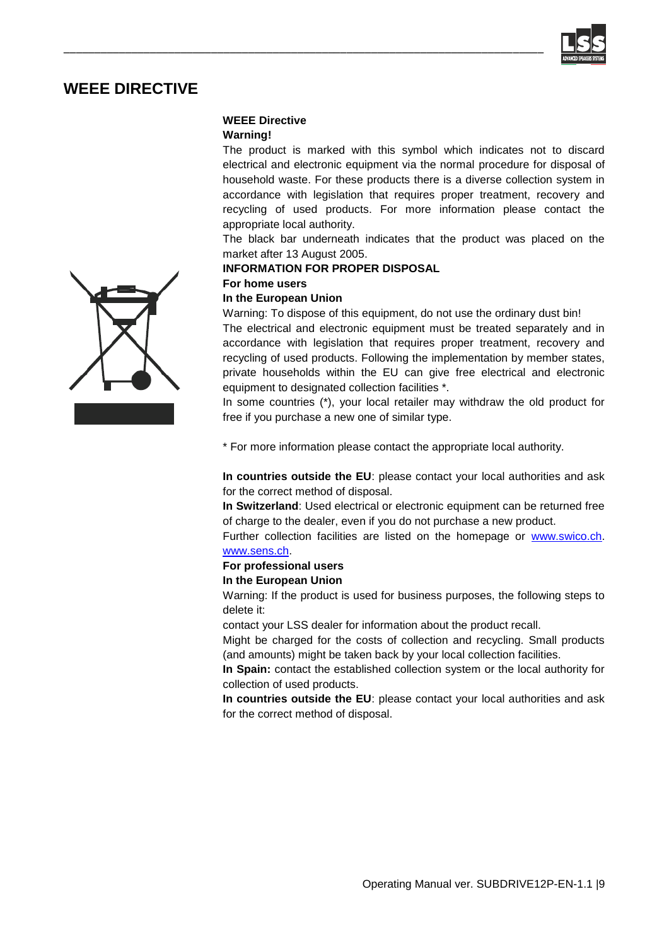

## <span id="page-8-0"></span>**WEEE DIRECTIVE**

## **WEEE Directive**

\_\_\_\_\_\_\_\_\_\_\_\_\_\_\_\_\_\_\_\_\_\_\_\_\_\_\_\_\_\_\_\_\_\_\_\_\_\_\_\_\_\_\_\_\_\_\_\_\_\_\_\_\_\_\_\_\_\_\_\_\_\_\_\_\_\_\_\_\_\_\_\_\_\_\_\_\_\_

#### **Warning!**

The product is marked with this symbol which indicates not to discard electrical and electronic equipment via the normal procedure for disposal of household waste. For these products there is a diverse collection system in accordance with legislation that requires proper treatment, recovery and recycling of used products. For more information please contact the appropriate local authority.

The black bar underneath indicates that the product was placed on the market after 13 August 2005.

#### **INFORMATION FOR PROPER DISPOSAL**

## **For home users**

## **In the European Union**

Warning: To dispose of this equipment, do not use the ordinary dust bin!

The electrical and electronic equipment must be treated separately and in accordance with legislation that requires proper treatment, recovery and recycling of used products. Following the implementation by member states, private households within the EU can give free electrical and electronic equipment to designated collection facilities \*.

In some countries (\*), your local retailer may withdraw the old product for free if you purchase a new one of similar type.

\* For more information please contact the appropriate local authority.

**In countries outside the EU**: please contact your local authorities and ask for the correct method of disposal.

**In Switzerland**: Used electrical or electronic equipment can be returned free of charge to the dealer, even if you do not purchase a new product.

Further collection facilities are listed on the homepage or [www.swico.ch.](http://www.swico.ch/) [www.sens.ch.](http://www.sens.ch/) 

## **For professional users**

#### **In the European Union**

Warning: If the product is used for business purposes, the following steps to delete it:

contact your LSS dealer for information about the product recall.

Might be charged for the costs of collection and recycling. Small products (and amounts) might be taken back by your local collection facilities.

**In Spain:** contact the established collection system or the local authority for collection of used products.

**In countries outside the EU**: please contact your local authorities and ask for the correct method of disposal.

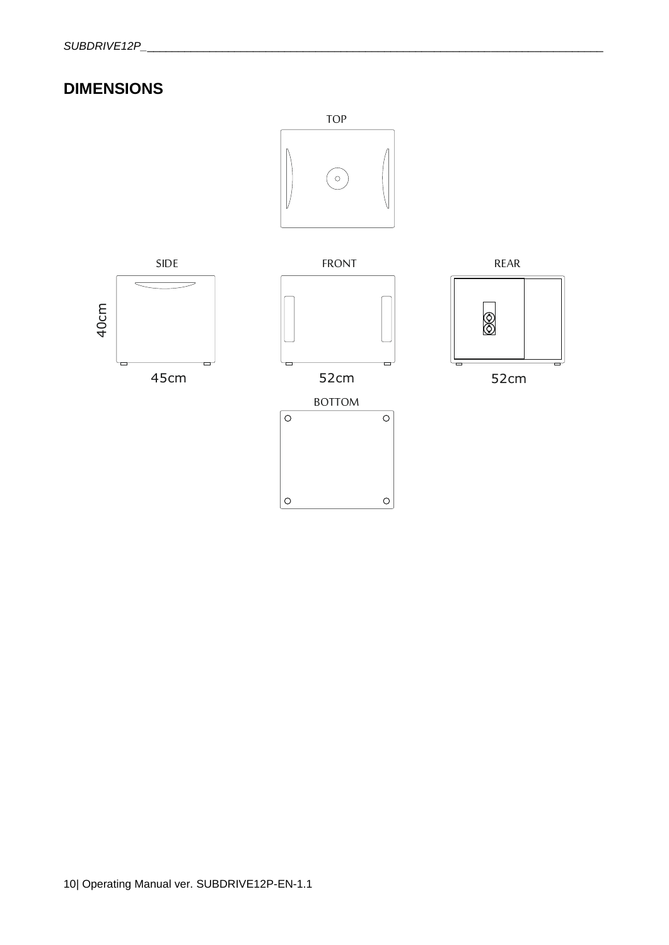# <span id="page-9-0"></span>**DIMENSIONS**

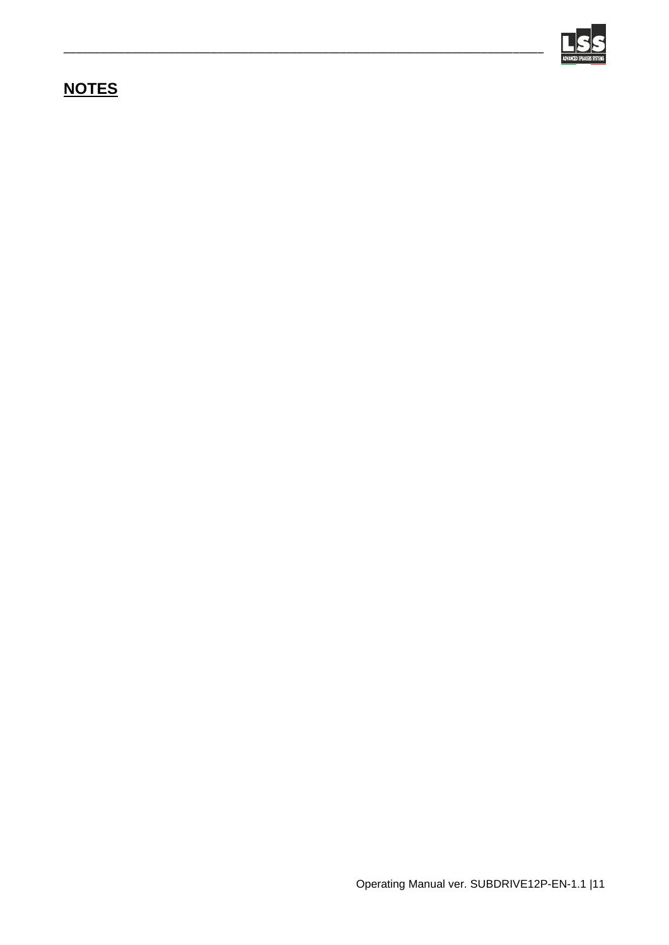

# <span id="page-10-0"></span>**NOTES**

\_\_\_\_\_\_\_\_\_\_\_\_\_\_\_\_\_\_\_\_\_\_\_\_\_\_\_\_\_\_\_\_\_\_\_\_\_\_\_\_\_\_\_\_\_\_\_\_\_\_\_\_\_\_\_\_\_\_\_\_\_\_\_\_\_\_\_\_\_\_\_\_\_\_\_\_\_\_